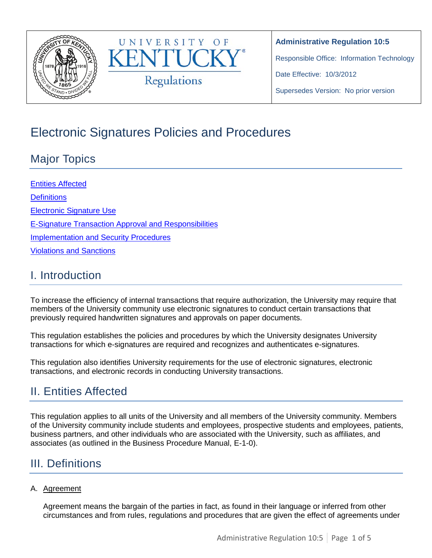



Responsible Office: Information Technology

Date Effective: 10/3/2012

Supersedes Version: No prior version

# Electronic Signatures Policies and Procedures

# Major Topics

[Entities Affected](#page-0-0) **[Definitions](#page-0-1)** [Electronic Signature Use](#page-2-0) [E-Signature Transaction Approval and Responsibilities](#page-2-1) [Implementation and Security Procedures](#page-3-0) [Violations and Sanctions](#page-3-1) 

## I. Introduction

To increase the efficiency of internal transactions that require authorization, the University may require that members of the University community use electronic signatures to conduct certain transactions that previously required handwritten signatures and approvals on paper documents.

This regulation establishes the policies and procedures by which the University designates University transactions for which e-signatures are required and recognizes and authenticates e-signatures.

This regulation also identifies University requirements for the use of electronic signatures, electronic transactions, and electronic records in conducting University transactions.

## <span id="page-0-0"></span>II. Entities Affected

This regulation applies to all units of the University and all members of the University community. Members of the University community include students and employees, prospective students and employees, patients, business partners, and other individuals who are associated with the University, such as affiliates, and associates (as outlined in the Business Procedure Manual, E-1-0).

## <span id="page-0-1"></span>III. Definitions

### A. Agreement

Agreement means the bargain of the parties in fact, as found in their language or inferred from other circumstances and from rules, regulations and procedures that are given the effect of agreements under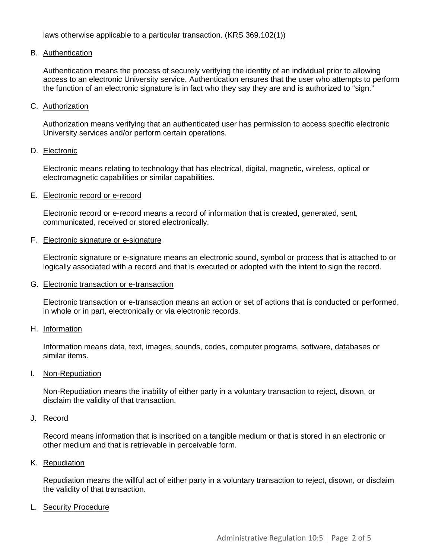laws otherwise applicable to a particular transaction. (KRS 369.102(1))

#### B. Authentication

Authentication means the process of securely verifying the identity of an individual prior to allowing access to an electronic University service. Authentication ensures that the user who attempts to perform the function of an electronic signature is in fact who they say they are and is authorized to "sign."

#### C. Authorization

Authorization means verifying that an authenticated user has permission to access specific electronic University services and/or perform certain operations.

#### D. Electronic

Electronic means relating to technology that has electrical, digital, magnetic, wireless, optical or electromagnetic capabilities or similar capabilities.

#### E. Electronic record or e-record

Electronic record or e-record means a record of information that is created, generated, sent, communicated, received or stored electronically.

#### F. Electronic signature or e-signature

Electronic signature or e-signature means an electronic sound, symbol or process that is attached to or logically associated with a record and that is executed or adopted with the intent to sign the record.

#### G. Electronic transaction or e-transaction

Electronic transaction or e-transaction means an action or set of actions that is conducted or performed, in whole or in part, electronically or via electronic records.

#### H. Information

Information means data, text, images, sounds, codes, computer programs, software, databases or similar items.

#### I. Non-Repudiation

Non-Repudiation means the inability of either party in a voluntary transaction to reject, disown, or disclaim the validity of that transaction.

#### J. Record

Record means information that is inscribed on a tangible medium or that is stored in an electronic or other medium and that is retrievable in perceivable form.

#### K. Repudiation

Repudiation means the willful act of either party in a voluntary transaction to reject, disown, or disclaim the validity of that transaction.

#### L. Security Procedure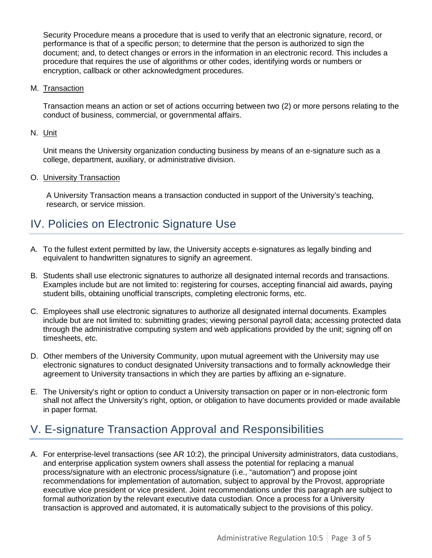Security Procedure means a procedure that is used to verify that an electronic signature, record, or performance is that of a specific person; to determine that the person is authorized to sign the document; and, to detect changes or errors in the information in an electronic record. This includes a procedure that requires the use of algorithms or other codes, identifying words or numbers or encryption, callback or other acknowledgment procedures.

#### M. Transaction

Transaction means an action or set of actions occurring between two (2) or more persons relating to the conduct of business, commercial, or governmental affairs.

#### N. Unit

Unit means the University organization conducting business by means of an e-signature such as a college, department, auxiliary, or administrative division.

#### O. University Transaction

A University Transaction means a transaction conducted in support of the University's teaching, research, or service mission.

### <span id="page-2-0"></span>IV. Policies on Electronic Signature Use

- A. To the fullest extent permitted by law, the University accepts e-signatures as legally binding and equivalent to handwritten signatures to signify an agreement.
- B. Students shall use electronic signatures to authorize all designated internal records and transactions. Examples include but are not limited to: registering for courses, accepting financial aid awards, paying student bills, obtaining unofficial transcripts, completing electronic forms, etc.
- C. Employees shall use electronic signatures to authorize all designated internal documents. Examples include but are not limited to: submitting grades; viewing personal payroll data; accessing protected data through the administrative computing system and web applications provided by the unit; signing off on timesheets, etc.
- D. Other members of the University Community, upon mutual agreement with the University may use electronic signatures to conduct designated University transactions and to formally acknowledge their agreement to University transactions in which they are parties by affixing an e-signature.
- E. The University's right or option to conduct a University transaction on paper or in non-electronic form shall not affect the University's right, option, or obligation to have documents provided or made available in paper format.

### <span id="page-2-1"></span>V. E-signature Transaction Approval and Responsibilities

A. For enterprise-level transactions (see AR 10:2), the principal University administrators, data custodians, and enterprise application system owners shall assess the potential for replacing a manual process/signature with an electronic process/signature (i.e., "automation") and propose joint recommendations for implementation of automation, subject to approval by the Provost, appropriate executive vice president or vice president. Joint recommendations under this paragraph are subject to formal authorization by the relevant executive data custodian. Once a process for a University transaction is approved and automated, it is automatically subject to the provisions of this policy.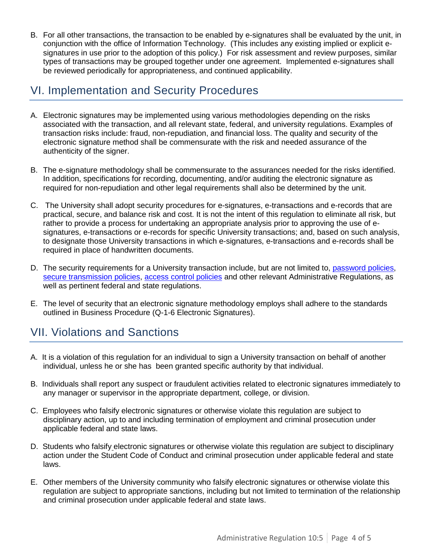B. For all other transactions, the transaction to be enabled by e-signatures shall be evaluated by the unit, in conjunction with the office of Information Technology. (This includes any existing implied or explicit esignatures in use prior to the adoption of this policy.) For risk assessment and review purposes, similar types of transactions may be grouped together under one agreement. Implemented e-signatures shall be reviewed periodically for appropriateness, and continued applicability.

### <span id="page-3-0"></span>VI. Implementation and Security Procedures

- A. Electronic signatures may be implemented using various methodologies depending on the risks associated with the transaction, and all relevant state, federal, and university regulations. Examples of transaction risks include: fraud, non-repudiation, and financial loss. The quality and security of the electronic signature method shall be commensurate with the risk and needed assurance of the authenticity of the signer.
- B. The e-signature methodology shall be commensurate to the assurances needed for the risks identified. In addition, specifications for recording, documenting, and/or auditing the electronic signature as required for non-repudiation and other legal requirements shall also be determined by the unit.
- C. The University shall adopt security procedures for e-signatures, e-transactions and e-records that are practical, secure, and balance risk and cost. It is not the intent of this regulation to eliminate all risk, but rather to provide a process for undertaking an appropriate analysis prior to approving the use of esignatures, e-transactions or e-records for specific University transactions; and, based on such analysis, to designate those University transactions in which e-signatures, e-transactions and e-records shall be required in place of handwritten documents.
- D. The security requirements for a University transaction include, but are not limited to, [password policies,](http://wiki.uky.edu/accounts/Wiki%20Pages/University%20of%20Kentucky%20Computer%20Password%20Policy.aspx) [secure transmission](http://www.uky.edu/UKIT/files/Patch_Management_6.pdf) policies, [access control policies](http://www.uky.edu/regs/files/ar/ar10-1.pdf%20,%20%20www.uky.edu/ukit/content/sapiris-access-and-training-facts) and other relevant Administrative Regulations, as well as pertinent federal and state regulations.
- E. The level of security that an electronic signature methodology employs shall adhere to the standards outlined in Business Procedure (Q-1-6 Electronic Signatures).

## <span id="page-3-1"></span>VII. Violations and Sanctions

- A. It is a violation of this regulation for an individual to sign a University transaction on behalf of another individual, unless he or she has been granted specific authority by that individual.
- B. Individuals shall report any suspect or fraudulent activities related to electronic signatures immediately to any manager or supervisor in the appropriate department, college, or division.
- C. Employees who falsify electronic signatures or otherwise violate this regulation are subject to disciplinary action, up to and including termination of employment and criminal prosecution under applicable federal and state laws.
- D. Students who falsify electronic signatures or otherwise violate this regulation are subject to disciplinary action under the Student Code of Conduct and criminal prosecution under applicable federal and state laws.
- E. Other members of the University community who falsify electronic signatures or otherwise violate this regulation are subject to appropriate sanctions, including but not limited to termination of the relationship and criminal prosecution under applicable federal and state laws.